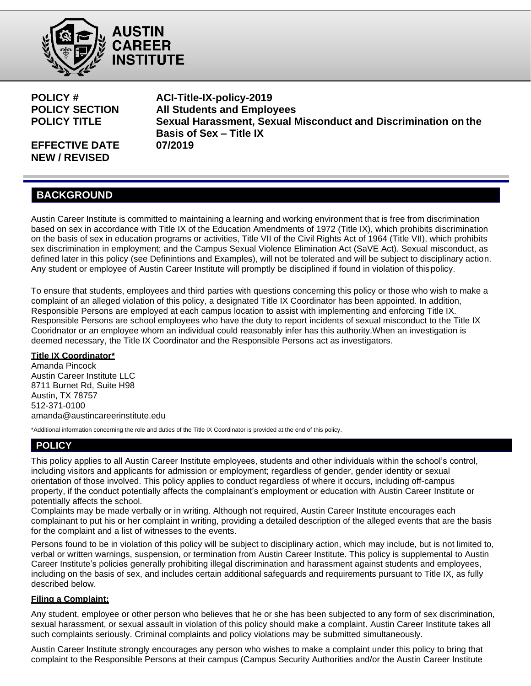



**EFFECTIVE DATE 07/2019 NEW / REVISED**

**POLICY # ACI-Title-IX-policy-2019 POLICY SECTION All Students and Employees POLICY TITLE Sexual Harassment, Sexual Misconduct and Discrimination on the Basis of Sex – Title IX**

# **BACKGROUND**

Austin Career Institute is committed to maintaining a learning and working environment that is free from discrimination based on sex in accordance with Title IX of the Education Amendments of 1972 (Title IX), which prohibits discrimination on the basis of sex in education programs or activities, Title VII of the Civil Rights Act of 1964 (Title VII), which prohibits sex discrimination in employment; and the Campus Sexual Violence Elimination Act (SaVE Act). Sexual misconduct, as defined later in this policy (see Definintions and Examples), will not be tolerated and will be subject to disciplinary action. Any student or employee of Austin Career Institute will promptly be disciplined if found in violation of this policy.

To ensure that students, employees and third parties with questions concerning this policy or those who wish to make a complaint of an alleged violation of this policy, a designated Title IX Coordinator has been appointed. In addition, Responsible Persons are employed at each campus location to assist with implementing and enforcing Title IX. Responsible Persons are school employees who have the duty to report incidents of sexual misconduct to the Title IX Cooridnator or an employee whom an individual could reasonably infer has this authority.When an investigation is deemed necessary, the Title IX Coordinator and the Responsible Persons act as investigators.

## **Title IX Coordinator\***

Amanda Pincock Austin Career Institute LLC 8711 Burnet Rd, Suite H98 Austin, TX 78757 512-371-0100 amanda@austincareerinstitute.edu

\*Additional information concerning the role and duties of the Title IX Coordinator is provided at the end of this policy.

## **POLICY**

This policy applies to all Austin Career Institute employees, students and other individuals within the school's control, including visitors and applicants for admission or employment; regardless of gender, gender identity or sexual orientation of those involved. This policy applies to conduct regardless of where it occurs, including off-campus property, if the conduct potentially affects the complainant's employment or education with Austin Career Institute or potentially affects the school.

Complaints may be made verbally or in writing. Although not required, Austin Career Institute encourages each complainant to put his or her complaint in writing, providing a detailed description of the alleged events that are the basis for the complaint and a list of witnesses to the events.

Persons found to be in violation of this policy will be subject to disciplinary action, which may include, but is not limited to, verbal or written warnings, suspension, or termination from Austin Career Institute. This policy is supplemental to Austin Career Institute's policies generally prohibiting illegal discrimination and harassment against students and employees, including on the basis of sex, and includes certain additional safeguards and requirements pursuant to Title IX, as fully described below.

## **Filing a Complaint:**

Any student, employee or other person who believes that he or she has been subjected to any form of sex discrimination, sexual harassment, or sexual assault in violation of this policy should make a complaint. Austin Career Institute takes all such complaints seriously. Criminal complaints and policy violations may be submitted simultaneously.

Austin Career Institute strongly encourages any person who wishes to make a complaint under this policy to bring that complaint to the Responsible Persons at their campus (Campus Security Authorities and/or the Austin Career Institute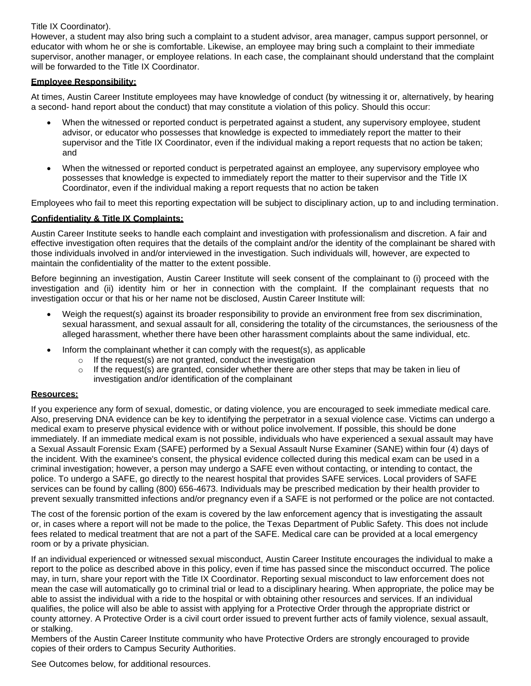### Title IX Coordinator).

However, a student may also bring such a complaint to a student advisor, area manager, campus support personnel, or educator with whom he or she is comfortable. Likewise, an employee may bring such a complaint to their immediate supervisor, another manager, or employee relations. In each case, the complainant should understand that the complaint will be forwarded to the Title IX Coordinator.

### **Employee Responsibility:**

At times, Austin Career Institute employees may have knowledge of conduct (by witnessing it or, alternatively, by hearing a second- hand report about the conduct) that may constitute a violation of this policy. Should this occur:

- When the witnessed or reported conduct is perpetrated against a student, any supervisory employee, student advisor, or educator who possesses that knowledge is expected to immediately report the matter to their supervisor and the Title IX Coordinator, even if the individual making a report requests that no action be taken; and
- When the witnessed or reported conduct is perpetrated against an employee, any supervisory employee who possesses that knowledge is expected to immediately report the matter to their supervisor and the Title IX Coordinator, even if the individual making a report requests that no action be taken

Employees who fail to meet this reporting expectation will be subject to disciplinary action, up to and including termination.

## **Confidentiality & Title IX Complaints:**

Austin Career Institute seeks to handle each complaint and investigation with professionalism and discretion. A fair and effective investigation often requires that the details of the complaint and/or the identity of the complainant be shared with those individuals involved in and/or interviewed in the investigation. Such individuals will, however, are expected to maintain the confidentiality of the matter to the extent possible.

Before beginning an investigation, Austin Career Institute will seek consent of the complainant to (i) proceed with the investigation and (ii) identity him or her in connection with the complaint. If the complainant requests that no investigation occur or that his or her name not be disclosed, Austin Career Institute will:

- Weigh the request(s) against its broader responsibility to provide an environment free from sex discrimination, sexual harassment, and sexual assault for all, considering the totality of the circumstances, the seriousness of the alleged harassment, whether there have been other harassment complaints about the same individual, etc.
- Inform the complainant whether it can comply with the request(s), as applicable
	- $\circ$  If the request(s) are not granted, conduct the investigation
	- $\circ$  If the request(s) are granted, consider whether there are other steps that may be taken in lieu of investigation and/or identification of the complainant

#### **Resources:**

If you experience any form of sexual, domestic, or dating violence, you are encouraged to seek immediate medical care. Also, preserving DNA evidence can be key to identifying the perpetrator in a sexual violence case. Victims can undergo a medical exam to preserve physical evidence with or without police involvement. If possible, this should be done immediately. If an immediate medical exam is not possible, individuals who have experienced a sexual assault may have a Sexual Assault Forensic Exam (SAFE) performed by a Sexual Assault Nurse Examiner (SANE) within four (4) days of the incident. With the examinee's consent, the physical evidence collected during this medical exam can be used in a criminal investigation; however, a person may undergo a SAFE even without contacting, or intending to contact, the police. To undergo a SAFE, go directly to the nearest hospital that provides SAFE services. Local providers of SAFE services can be found by calling (800) 656-4673. Individuals may be prescribed medication by their health provider to prevent sexually transmitted infections and/or pregnancy even if a SAFE is not performed or the police are not contacted.

The cost of the forensic portion of the exam is covered by the law enforcement agency that is investigating the assault or, in cases where a report will not be made to the police, the Texas Department of Public Safety. This does not include fees related to medical treatment that are not a part of the SAFE. Medical care can be provided at a local emergency room or by a private physician.

If an individual experienced or witnessed sexual misconduct, Austin Career Institute encourages the individual to make a report to the police as described above in this policy, even if time has passed since the misconduct occurred. The police may, in turn, share your report with the Title IX Coordinator. Reporting sexual misconduct to law enforcement does not mean the case will automatically go to criminal trial or lead to a disciplinary hearing. When appropriate, the police may be able to assist the individual with a ride to the hospital or with obtaining other resources and services. If an individual qualifies, the police will also be able to assist with applying for a Protective Order through the appropriate district or county attorney. A Protective Order is a civil court order issued to prevent further acts of family violence, sexual assault, or stalking.

Members of the Austin Career Institute community who have Protective Orders are strongly encouraged to provide copies of their orders to Campus Security Authorities.

See Outcomes below, for additional resources.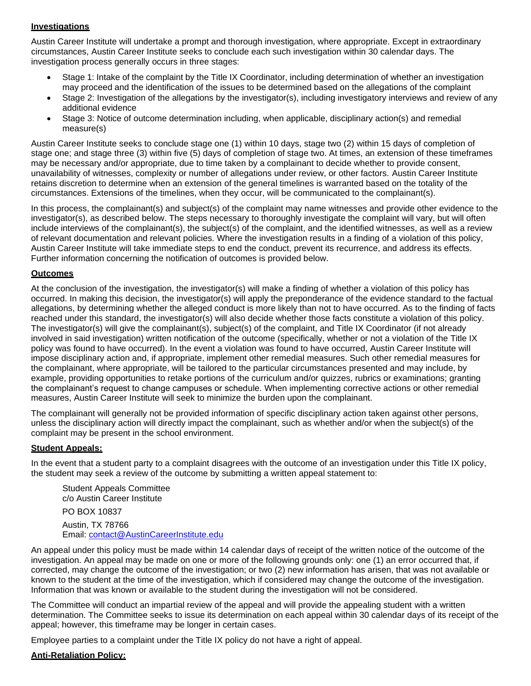## **Investigations**

Austin Career Institute will undertake a prompt and thorough investigation, where appropriate. Except in extraordinary circumstances, Austin Career Institute seeks to conclude each such investigation within 30 calendar days. The investigation process generally occurs in three stages:

- Stage 1: Intake of the complaint by the Title IX Coordinator, including determination of whether an investigation may proceed and the identification of the issues to be determined based on the allegations of the complaint
- Stage 2: Investigation of the allegations by the investigator(s), including investigatory interviews and review of any additional evidence
- Stage 3: Notice of outcome determination including, when applicable, disciplinary action(s) and remedial measure(s)

Austin Career Institute seeks to conclude stage one (1) within 10 days, stage two (2) within 15 days of completion of stage one; and stage three (3) within five (5) days of completion of stage two. At times, an extension of these timeframes may be necessary and/or appropriate, due to time taken by a complainant to decide whether to provide consent, unavailability of witnesses, complexity or number of allegations under review, or other factors. Austin Career Institute retains discretion to determine when an extension of the general timelines is warranted based on the totality of the circumstances. Extensions of the timelines, when they occur, will be communicated to the complainant(s).

In this process, the complainant(s) and subject(s) of the complaint may name witnesses and provide other evidence to the investigator(s), as described below. The steps necessary to thoroughly investigate the complaint will vary, but will often include interviews of the complainant(s), the subject(s) of the complaint, and the identified witnesses, as well as a review of relevant documentation and relevant policies. Where the investigation results in a finding of a violation of this policy, Austin Career Institute will take immediate steps to end the conduct, prevent its recurrence, and address its effects. Further information concerning the notification of outcomes is provided below.

#### **Outcomes**

At the conclusion of the investigation, the investigator(s) will make a finding of whether a violation of this policy has occurred. In making this decision, the investigator(s) will apply the preponderance of the evidence standard to the factual allegations, by determining whether the alleged conduct is more likely than not to have occurred. As to the finding of facts reached under this standard, the investigator(s) will also decide whether those facts constitute a violation of this policy. The investigator(s) will give the complainant(s), subject(s) of the complaint, and Title IX Coordinator (if not already involved in said investigation) written notification of the outcome (specifically, whether or not a violation of the Title IX policy was found to have occurred). In the event a violation was found to have occurred, Austin Career Institute will impose disciplinary action and, if appropriate, implement other remedial measures. Such other remedial measures for the complainant, where appropriate, will be tailored to the particular circumstances presented and may include, by example, providing opportunities to retake portions of the curriculum and/or quizzes, rubrics or examinations; granting the complainant's request to change campuses or schedule. When implementing corrective actions or other remedial measures, Austin Career Institute will seek to minimize the burden upon the complainant.

The complainant will generally not be provided information of specific disciplinary action taken against other persons, unless the disciplinary action will directly impact the complainant, such as whether and/or when the subject(s) of the complaint may be present in the school environment.

#### **Student Appeals:**

In the event that a student party to a complaint disagrees with the outcome of an investigation under this Title IX policy, the student may seek a review of the outcome by submitting a written appeal statement to:

Student Appeals Committee c/o Austin Career Institute PO BOX 10837

Austin, TX 78766 Email: [contact@AustinCareerInstitute.edu](mailto:contact@AustinCareerInstitute.edu)

An appeal under this policy must be made within 14 calendar days of receipt of the written notice of the outcome of the investigation. An appeal may be made on one or more of the following grounds only: one (1) an error occurred that, if corrected, may change the outcome of the investigation; or two (2) new information has arisen, that was not available or known to the student at the time of the investigation, which if considered may change the outcome of the investigation. Information that was known or available to the student during the investigation will not be considered.

The Committee will conduct an impartial review of the appeal and will provide the appealing student with a written determination. The Committee seeks to issue its determination on each appeal within 30 calendar days of its receipt of the appeal; however, this timeframe may be longer in certain cases.

Employee parties to a complaint under the Title IX policy do not have a right of appeal.

#### **Anti-Retaliation Policy:**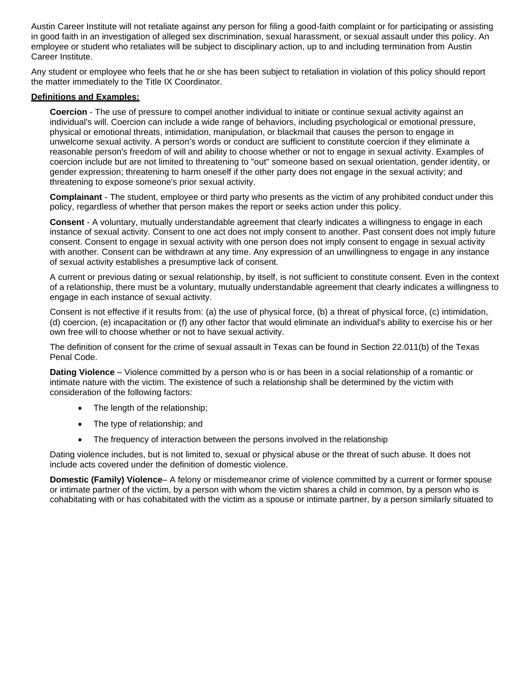Austin Career Institute will not retaliate against any person for filing a good-faith complaint or for participating or assisting in good faith in an investigation of alleged sex discrimination, sexual harassment, or sexual assault under this policy. An employee or student who retaliates will be subject to disciplinary action, up to and including termination from Austin Career Institute.

Any student or employee who feels that he or she has been subject to retaliation in violation of this policy should report the matter immediately to the Title IX Coordinator.

#### **Definitions and Examples:**

**Coercion** - The use of pressure to compel another individual to initiate or continue sexual activity against an individual's will. Coercion can include a wide range of behaviors, including psychological or emotional pressure, physical or emotional threats, intimidation, manipulation, or blackmail that causes the person to engage in unwelcome sexual activity. A person's words or conduct are sufficient to constitute coercion if they eliminate a reasonable person's freedom of will and ability to choose whether or not to engage in sexual activity. Examples of coercion include but are not limited to threatening to "out" someone based on sexual orientation, gender identity, or gender expression; threatening to harm oneself if the other party does not engage in the sexual activity; and threatening to expose someone's prior sexual activity.

**Complainant** - The student, employee or third party who presents as the victim of any prohibited conduct under this policy, regardless of whether that person makes the report or seeks action under this policy.

**Consent** - A voluntary, mutually understandable agreement that clearly indicates a willingness to engage in each instance of sexual activity. Consent to one act does not imply consent to another. Past consent does not imply future consent. Consent to engage in sexual activity with one person does not imply consent to engage in sexual activity with another. Consent can be withdrawn at any time. Any expression of an unwillingness to engage in any instance of sexual activity establishes a presumptive lack of consent.

A current or previous dating or sexual relationship, by itself, is not sufficient to constitute consent. Even in the context of a relationship, there must be a voluntary, mutually understandable agreement that clearly indicates a willingness to engage in each instance of sexual activity.

Consent is not effective if it results from: (a) the use of physical force, (b) a threat of physical force, (c) intimidation, (d) coercion, (e) incapacitation or (f) any other factor that would eliminate an individual's ability to exercise his or her own free will to choose whether or not to have sexual activity.

The definition of consent for the crime of sexual assault in Texas can be found in Section 22.011(b) of the Texas Penal Code.

**Dating Violence** – Violence committed by a person who is or has been in a social relationship of a romantic or intimate nature with the victim. The existence of such a relationship shall be determined by the victim with consideration of the following factors:

- The length of the relationship;
- The type of relationship; and
- The frequency of interaction between the persons involved in the relationship

Dating violence includes, but is not limited to, sexual or physical abuse or the threat of such abuse. It does not include acts covered under the definition of domestic violence.

**Domestic (Family) Violence**– A felony or misdemeanor crime of violence committed by a current or former spouse or intimate partner of the victim, by a person with whom the victim shares a child in common, by a person who is cohabitating with or has cohabitated with the victim as a spouse or intimate partner, by a person similarly situated to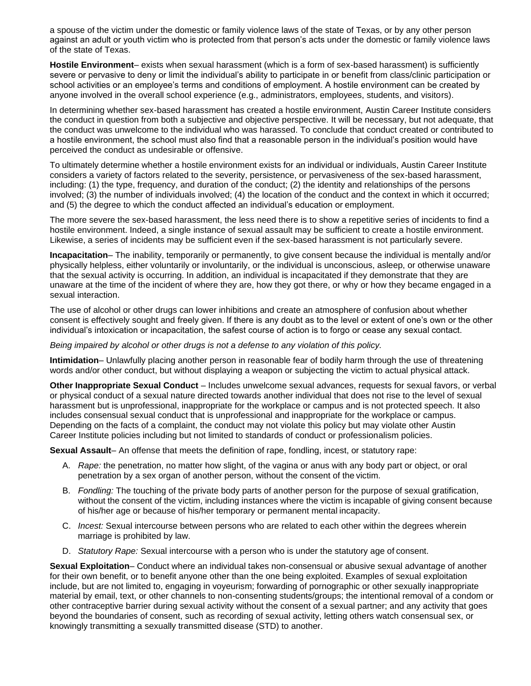a spouse of the victim under the domestic or family violence laws of the state of Texas, or by any other person against an adult or youth victim who is protected from that person's acts under the domestic or family violence laws of the state of Texas.

**Hostile Environment**– exists when sexual harassment (which is a form of sex-based harassment) is sufficiently severe or pervasive to deny or limit the individual's ability to participate in or benefit from class/clinic participation or school activities or an employee's terms and conditions of employment. A hostile environment can be created by anyone involved in the overall school experience (e.g., administrators, employees, students, and visitors).

In determining whether sex-based harassment has created a hostile environment, Austin Career Institute considers the conduct in question from both a subjective and objective perspective. It will be necessary, but not adequate, that the conduct was unwelcome to the individual who was harassed. To conclude that conduct created or contributed to a hostile environment, the school must also find that a reasonable person in the individual's position would have perceived the conduct as undesirable or offensive.

To ultimately determine whether a hostile environment exists for an individual or individuals, Austin Career Institute considers a variety of factors related to the severity, persistence, or pervasiveness of the sex-based harassment, including: (1) the type, frequency, and duration of the conduct; (2) the identity and relationships of the persons involved; (3) the number of individuals involved; (4) the location of the conduct and the context in which it occurred; and (5) the degree to which the conduct affected an individual's education or employment.

The more severe the sex-based harassment, the less need there is to show a repetitive series of incidents to find a hostile environment. Indeed, a single instance of sexual assault may be sufficient to create a hostile environment. Likewise, a series of incidents may be sufficient even if the sex-based harassment is not particularly severe.

**Incapacitation**– The inability, temporarily or permanently, to give consent because the individual is mentally and/or physically helpless, either voluntarily or involuntarily, or the individual is unconscious, asleep, or otherwise unaware that the sexual activity is occurring. In addition, an individual is incapacitated if they demonstrate that they are unaware at the time of the incident of where they are, how they got there, or why or how they became engaged in a sexual interaction.

The use of alcohol or other drugs can lower inhibitions and create an atmosphere of confusion about whether consent is effectively sought and freely given. If there is any doubt as to the level or extent of one's own or the other individual's intoxication or incapacitation, the safest course of action is to forgo or cease any sexual contact.

*Being impaired by alcohol or other drugs is not a defense to any violation of this policy.*

**Intimidation**– Unlawfully placing another person in reasonable fear of bodily harm through the use of threatening words and/or other conduct, but without displaying a weapon or subjecting the victim to actual physical attack.

**Other Inappropriate Sexual Conduct** – Includes unwelcome sexual advances, requests for sexual favors, or verbal or physical conduct of a sexual nature directed towards another individual that does not rise to the level of sexual harassment but is unprofessional, inappropriate for the workplace or campus and is not protected speech. It also includes consensual sexual conduct that is unprofessional and inappropriate for the workplace or campus. Depending on the facts of a complaint, the conduct may not violate this policy but may violate other Austin Career Institute policies including but not limited to standards of conduct or professionalism policies.

**Sexual Assault**– An offense that meets the definition of rape, fondling, incest, or statutory rape:

- A. *Rape:* the penetration, no matter how slight, of the vagina or anus with any body part or object, or oral penetration by a sex organ of another person, without the consent of the victim.
- B. *Fondling:* The touching of the private body parts of another person for the purpose of sexual gratification, without the consent of the victim, including instances where the victim is incapable of giving consent because of his/her age or because of his/her temporary or permanent mental incapacity.
- C. *Incest:* Sexual intercourse between persons who are related to each other within the degrees wherein marriage is prohibited by law.
- D. *Statutory Rape:* Sexual intercourse with a person who is under the statutory age of consent.

**Sexual Exploitation**– Conduct where an individual takes non-consensual or abusive sexual advantage of another for their own benefit, or to benefit anyone other than the one being exploited. Examples of sexual exploitation include, but are not limited to, engaging in voyeurism; forwarding of pornographic or other sexually inappropriate material by email, text, or other channels to non-consenting students/groups; the intentional removal of a condom or other contraceptive barrier during sexual activity without the consent of a sexual partner; and any activity that goes beyond the boundaries of consent, such as recording of sexual activity, letting others watch consensual sex, or knowingly transmitting a sexually transmitted disease (STD) to another.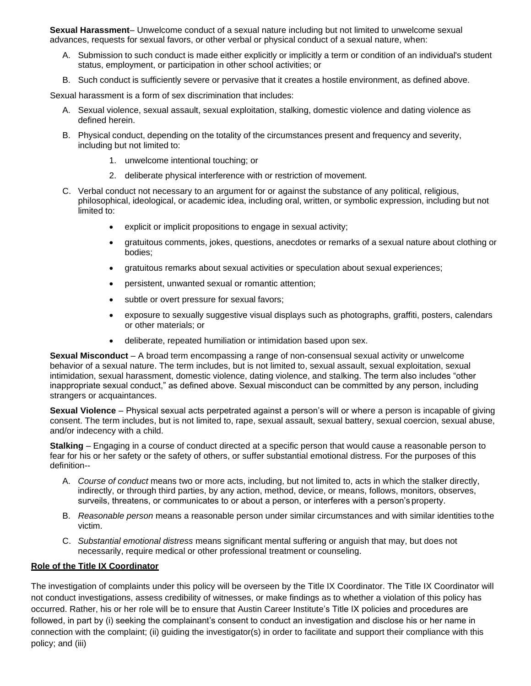**Sexual Harassment**– Unwelcome conduct of a sexual nature including but not limited to unwelcome sexual advances, requests for sexual favors, or other verbal or physical conduct of a sexual nature, when:

- A. Submission to such conduct is made either explicitly or implicitly a term or condition of an individual's student status, employment, or participation in other school activities; or
- B. Such conduct is sufficiently severe or pervasive that it creates a hostile environment, as defined above.

Sexual harassment is a form of sex discrimination that includes:

- A. Sexual violence, sexual assault, sexual exploitation, stalking, domestic violence and dating violence as defined herein.
- B. Physical conduct, depending on the totality of the circumstances present and frequency and severity, including but not limited to:
	- 1. unwelcome intentional touching; or
	- 2. deliberate physical interference with or restriction of movement.
- C. Verbal conduct not necessary to an argument for or against the substance of any political, religious, philosophical, ideological, or academic idea, including oral, written, or symbolic expression, including but not limited to:
	- explicit or implicit propositions to engage in sexual activity;
	- gratuitous comments, jokes, questions, anecdotes or remarks of a sexual nature about clothing or bodies;
	- gratuitous remarks about sexual activities or speculation about sexual experiences;
	- persistent, unwanted sexual or romantic attention;
	- subtle or overt pressure for sexual favors;
	- exposure to sexually suggestive visual displays such as photographs, graffiti, posters, calendars or other materials; or
	- deliberate, repeated humiliation or intimidation based upon sex.

**Sexual Misconduct** – A broad term encompassing a range of non-consensual sexual activity or unwelcome behavior of a sexual nature. The term includes, but is not limited to, sexual assault, sexual exploitation, sexual intimidation, sexual harassment, domestic violence, dating violence, and stalking. The term also includes "other inappropriate sexual conduct," as defined above. Sexual misconduct can be committed by any person, including strangers or acquaintances.

**Sexual Violence** – Physical sexual acts perpetrated against a person's will or where a person is incapable of giving consent. The term includes, but is not limited to, rape, sexual assault, sexual battery, sexual coercion, sexual abuse, and/or indecency with a child.

**Stalking** – Engaging in a course of conduct directed at a specific person that would cause a reasonable person to fear for his or her safety or the safety of others, or suffer substantial emotional distress. For the purposes of this definition--

- A. *Course of conduct* means two or more acts, including, but not limited to, acts in which the stalker directly, indirectly, or through third parties, by any action, method, device, or means, follows, monitors, observes, surveils, threatens, or communicates to or about a person, or interferes with a person's property.
- B. *Reasonable person* means a reasonable person under similar circumstances and with similar identities tothe victim.
- C. *Substantial emotional distress* means significant mental suffering or anguish that may, but does not necessarily, require medical or other professional treatment or counseling.

#### **Role of the Title IX Coordinator**

The investigation of complaints under this policy will be overseen by the Title IX Coordinator. The Title IX Coordinator will not conduct investigations, assess credibility of witnesses, or make findings as to whether a violation of this policy has occurred. Rather, his or her role will be to ensure that Austin Career Institute's Title IX policies and procedures are followed, in part by (i) seeking the complainant's consent to conduct an investigation and disclose his or her name in connection with the complaint; (ii) guiding the investigator(s) in order to facilitate and support their compliance with this policy; and (iii)